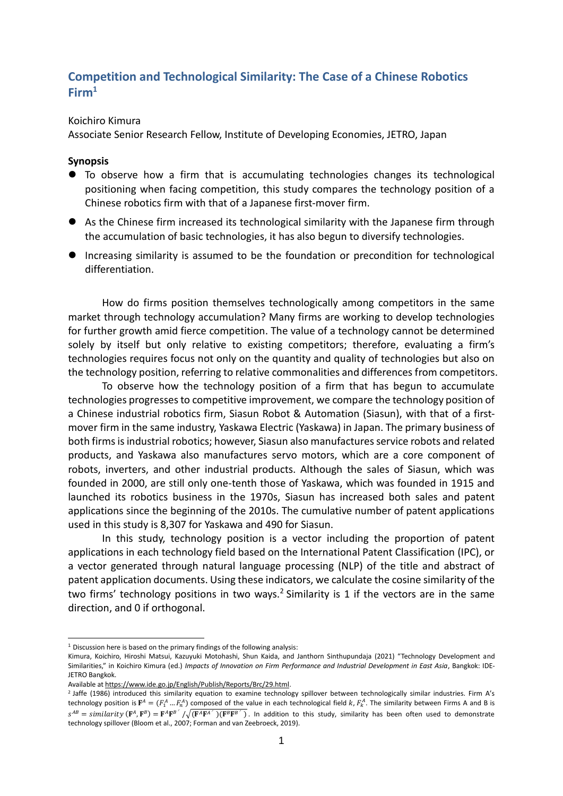## **Competition and Technological Similarity: The Case of a Chinese Robotics Firm<sup>1</sup>**

## Koichiro Kimura

Associate Senior Research Fellow, Institute of Developing Economies, JETRO, Japan

## **Synopsis**

- To observe how a firm that is accumulating technologies changes its technological positioning when facing competition, this study compares the technology position of a Chinese robotics firm with that of a Japanese first-mover firm.
- ⚫ As the Chinese firm increased its technological similarity with the Japanese firm through the accumulation of basic technologies, it has also begun to diversify technologies.
- ⚫ Increasing similarity is assumed to be the foundation or precondition for technological differentiation.

How do firms position themselves technologically among competitors in the same market through technology accumulation? Many firms are working to develop technologies for further growth amid fierce competition. The value of a technology cannot be determined solely by itself but only relative to existing competitors; therefore, evaluating a firm's technologies requires focus not only on the quantity and quality of technologies but also on the technology position, referring to relative commonalities and differences from competitors.

To observe how the technology position of a firm that has begun to accumulate technologies progresses to competitive improvement, we compare the technology position of a Chinese industrial robotics firm, Siasun Robot & Automation (Siasun), with that of a firstmover firm in the same industry, Yaskawa Electric (Yaskawa) in Japan. The primary business of both firms is industrial robotics; however, Siasun also manufactures service robots and related products, and Yaskawa also manufactures servo motors, which are a core component of robots, inverters, and other industrial products. Although the sales of Siasun, which was founded in 2000, are still only one-tenth those of Yaskawa, which was founded in 1915 and launched its robotics business in the 1970s, Siasun has increased both sales and patent applications since the beginning of the 2010s. The cumulative number of patent applications used in this study is 8,307 for Yaskawa and 490 for Siasun.

In this study, technology position is a vector including the proportion of patent applications in each technology field based on the International Patent Classification (IPC), or a vector generated through natural language processing (NLP) of the title and abstract of patent application documents. Using these indicators, we calculate the cosine similarity of the two firms' technology positions in two ways.<sup>2</sup> Similarity is 1 if the vectors are in the same direction, and 0 if orthogonal.

 $1$  Discussion here is based on the primary findings of the following analysis:

Kimura, Koichiro, Hiroshi Matsui, Kazuyuki Motohashi, Shun Kaida, and Janthorn Sinthupundaja (2021) "Technology Development and Similarities," in Koichiro Kimura (ed.) *Impacts of Innovation on Firm Performance and Industrial Development in East Asia*, Bangkok: IDE-JETRO Bangkok.

Available a[t https://www.ide.go.jp/English/Publish/Reports/Brc/29.html.](https://www.ide.go.jp/English/Publish/Reports/Brc/29.html)

<sup>2</sup> Jaffe (1986) introduced this similarity equation to examine technology spillover between technologically similar industries. Firm A's technology position is  $\mathbf{F}^A=(F_1^A...F_n^A)$  composed of the value in each technological field  $k$ ,  $F_k^A$ . The similarity between Firms A and B is  $s^{AB} =$ similarity  $(\mathbf{F}^A, \mathbf{F}^B) = \mathbf{F}^A \mathbf{F}^B / \sqrt{(\mathbf{F}^A \mathbf{F}^A /)(\mathbf{F}^B \mathbf{F}^B)}$ . In addition to this study, similarity has been often used to demonstrate technology spillover (Bloom et al., 2007; Forman and van Zeebroeck, 2019).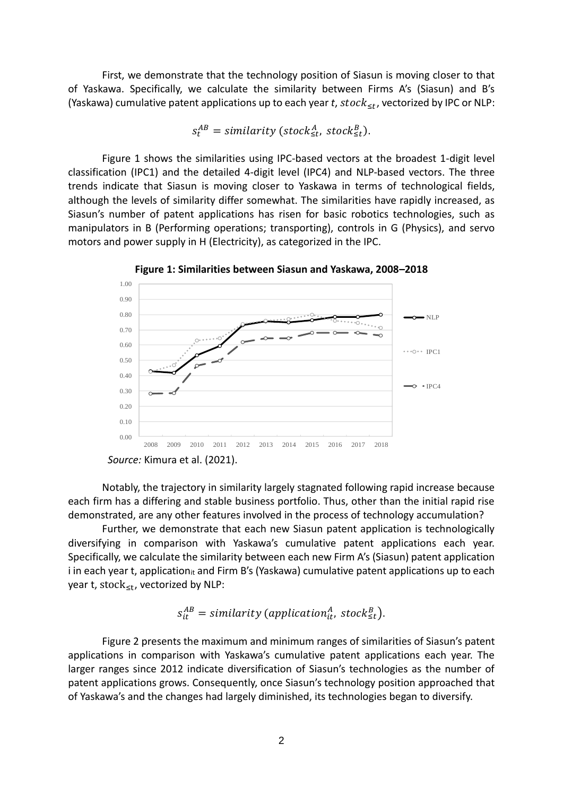First, we demonstrate that the technology position of Siasun is moving closer to that of Yaskawa. Specifically, we calculate the similarity between Firms A's (Siasun) and B's (Yaskawa) cumulative patent applications up to each year *t*,  $stock_{\leq t}$ , vectorized by IPC or NLP:

$$
s_t^{AB} = similarity (stock_{\leq t}^A, stock_{\leq t}^B).
$$

Figure 1 shows the similarities using IPC-based vectors at the broadest 1-digit level classification (IPC1) and the detailed 4-digit level (IPC4) and NLP-based vectors. The three trends indicate that Siasun is moving closer to Yaskawa in terms of technological fields, although the levels of similarity differ somewhat. The similarities have rapidly increased, as Siasun's number of patent applications has risen for basic robotics technologies, such as manipulators in B (Performing operations; transporting), controls in G (Physics), and servo motors and power supply in H (Electricity), as categorized in the IPC.



**Figure 1: Similarities between Siasun and Yaskawa, 2008–2018**

Notably, the trajectory in similarity largely stagnated following rapid increase because each firm has a differing and stable business portfolio. Thus, other than the initial rapid rise demonstrated, are any other features involved in the process of technology accumulation?

Further, we demonstrate that each new Siasun patent application is technologically diversifying in comparison with Yaskawa's cumulative patent applications each year. Specifically, we calculate the similarity between each new Firm A's (Siasun) patent application i in each year t, application<sub>it</sub> and Firm B's (Yaskawa) cumulative patent applications up to each year t, stock<sub>≤t</sub>, vectorized by NLP:

$$
s_{it}^{AB} = similarity (application_{it}^A, stock_{st}^B).
$$

Figure 2 presents the maximum and minimum ranges of similarities of Siasun's patent applications in comparison with Yaskawa's cumulative patent applications each year. The larger ranges since 2012 indicate diversification of Siasun's technologies as the number of patent applications grows. Consequently, once Siasun's technology position approached that of Yaskawa's and the changes had largely diminished, its technologies began to diversify.

*Source:* Kimura et al. (2021).